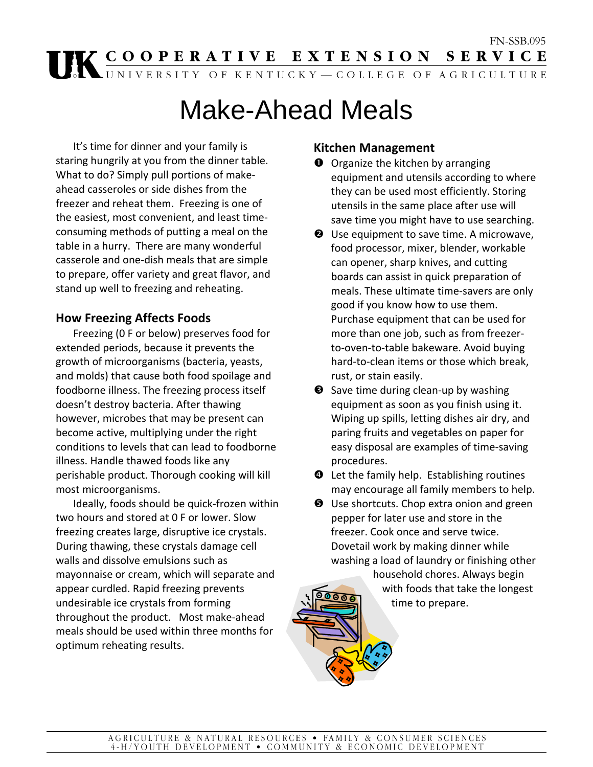# FN-SSB.095<br> **THE COOPERATIVE EXTENSION SERVICE**<br> **THE COOPERATIVE EXTENSION SERVICE**

# Make-Ahead Meals

It's time for dinner and your family is staring hungrily at you from the dinner table. What to do? Simply pull portions of make‐ ahead casseroles or side dishes from the freezer and reheat them. Freezing is one of the easiest, most convenient, and least time‐ consuming methods of putting a meal on the table in a hurry. There are many wonderful casserole and one‐dish meals that are simple to prepare, offer variety and great flavor, and stand up well to freezing and reheating.

# **How Freezing Affects Foods**

Freezing (0 F or below) preserves food for extended periods, because it prevents the growth of microorganisms (bacteria, yeasts, and molds) that cause both food spoilage and foodborne illness. The freezing process itself doesn't destroy bacteria. After thawing however, microbes that may be present can become active, multiplying under the right conditions to levels that can lead to foodborne illness. Handle thawed foods like any perishable product. Thorough cooking will kill most microorganisms.

Ideally, foods should be quick‐frozen within two hours and stored at 0 F or lower. Slow freezing creates large, disruptive ice crystals. During thawing, these crystals damage cell walls and dissolve emulsions such as mayonnaise or cream, which will separate and appear curdled. Rapid freezing prevents undesirable ice crystals from forming throughout the product. Most make‐ahead meals should be used within three months for optimum reheating results.

# **Kitchen Management**

- $\bullet$  Organize the kitchen by arranging equipment and utensils according to where they can be used most efficiently. Storing utensils in the same place after use will save time you might have to use searching.
- $\Theta$  Use equipment to save time. A microwave, food processor, mixer, blender, workable can opener, sharp knives, and cutting boards can assist in quick preparation of meals. These ultimate time‐savers are only good if you know how to use them. Purchase equipment that can be used for more than one job, such as from freezer‐ to‐oven‐to‐table bakeware. Avoid buying hard‐to‐clean items or those which break, rust, or stain easily.
- **●** Save time during clean-up by washing equipment as soon as you finish using it. Wiping up spills, letting dishes air dry, and paring fruits and vegetables on paper for easy disposal are examples of time‐saving procedures.
- $\bullet$  Let the family help. Establishing routines may encourage all family members to help.
- $\Theta$  Use shortcuts. Chop extra onion and green pepper for later use and store in the freezer. Cook once and serve twice. Dovetail work by making dinner while washing a load of laundry or finishing other household chores. Always begin

with foods that take the longest time to prepare.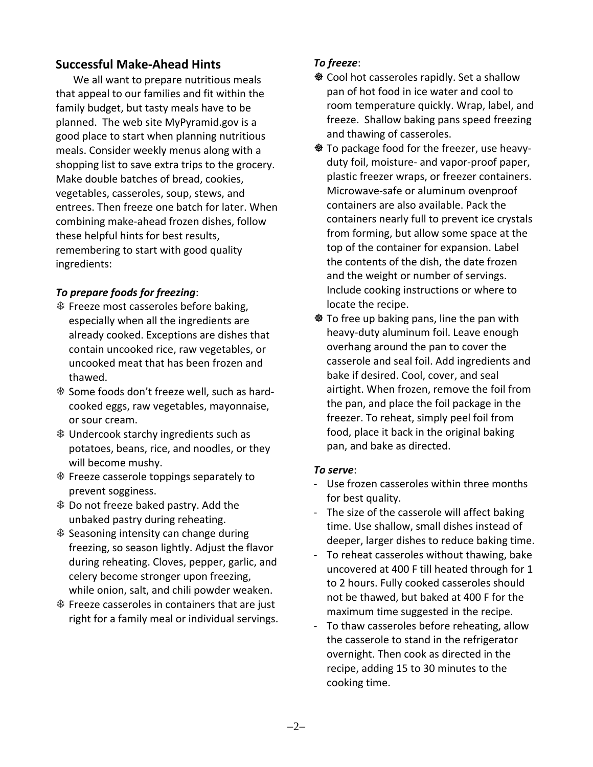# **Successful Make‐Ahead Hints**

We all want to prepare nutritious meals that appeal to our families and fit within the family budget, but tasty meals have to be planned. The web site MyPyramid.gov is a good place to start when planning nutritious meals. Consider weekly menus along with a shopping list to save extra trips to the grocery. Make double batches of bread, cookies, vegetables, casseroles, soup, stews, and entrees. Then freeze one batch for later. When combining make‐ahead frozen dishes, follow these helpful hints for best results, remembering to start with good quality ingredients:

### *To prepare foods for freezing*:

- 7 Freeze most casseroles before baking, especially when all the ingredients are already cooked. Exceptions are dishes that contain uncooked rice, raw vegetables, or uncooked meat that has been frozen and thawed.
- 7 Some foods don't freeze well, such as hard‐ cooked eggs, raw vegetables, mayonnaise, or sour cream.
- 7 Undercook starchy ingredients such as potatoes, beans, rice, and noodles, or they will become mushy.
- $*$  Freeze casserole toppings separately to prevent sogginess.
- 7 Do not freeze baked pastry. Add the unbaked pastry during reheating.
- 7 Seasoning intensity can change during freezing, so season lightly. Adjust the flavor during reheating. Cloves, pepper, garlic, and celery become stronger upon freezing, while onion, salt, and chili powder weaken.
- 7 Freeze casseroles in containers that are just right for a family meal or individual servings.

## *To freeze*:

- <sup>※</sup> Cool hot casseroles rapidly. Set a shallow pan of hot food in ice water and cool to room temperature quickly. Wrap, label, and freeze. Shallow baking pans speed freezing and thawing of casseroles.
- <sup>※</sup> To package food for the freezer, use heavyduty foil, moisture‐ and vapor‐proof paper, plastic freezer wraps, or freezer containers. Microwave‐safe or aluminum ovenproof containers are also available. Pack the containers nearly full to prevent ice crystals from forming, but allow some space at the top of the container for expansion. Label the contents of the dish, the date frozen and the weight or number of servings. Include cooking instructions or where to locate the recipe.
- $\otimes$  To free up baking pans, line the pan with heavy‐duty aluminum foil. Leave enough overhang around the pan to cover the casserole and seal foil. Add ingredients and bake if desired. Cool, cover, and seal airtight. When frozen, remove the foil from the pan, and place the foil package in the freezer. To reheat, simply peel foil from food, place it back in the original baking pan, and bake as directed.

#### *To serve*:

- ‐ Use frozen casseroles within three months for best quality.
- ‐ The size of the casserole will affect baking time. Use shallow, small dishes instead of deeper, larger dishes to reduce baking time.
- ‐ To reheat casseroles without thawing, bake uncovered at 400 F till heated through for 1 to 2 hours. Fully cooked casseroles should not be thawed, but baked at 400 F for the maximum time suggested in the recipe.
- To thaw casseroles before reheating, allow the casserole to stand in the refrigerator overnight. Then cook as directed in the recipe, adding 15 to 30 minutes to the cooking time.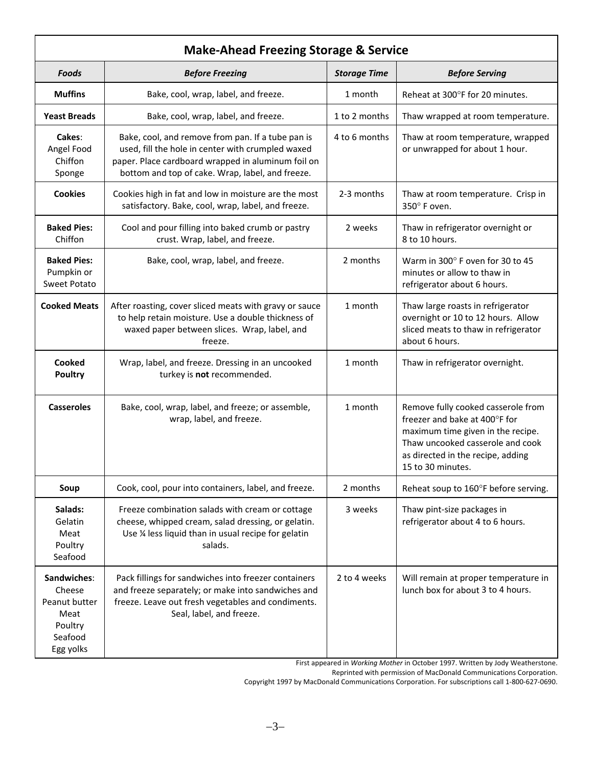| <b>Make-Ahead Freezing Storage &amp; Service</b>                                  |                                                                                                                                                                                                                  |                     |                                                                                                                                                                                                        |  |
|-----------------------------------------------------------------------------------|------------------------------------------------------------------------------------------------------------------------------------------------------------------------------------------------------------------|---------------------|--------------------------------------------------------------------------------------------------------------------------------------------------------------------------------------------------------|--|
| Foods                                                                             | <b>Before Freezing</b>                                                                                                                                                                                           | <b>Storage Time</b> | <b>Before Serving</b>                                                                                                                                                                                  |  |
| <b>Muffins</b>                                                                    | Bake, cool, wrap, label, and freeze.                                                                                                                                                                             | 1 month             | Reheat at 300°F for 20 minutes.                                                                                                                                                                        |  |
| <b>Yeast Breads</b>                                                               | Bake, cool, wrap, label, and freeze.                                                                                                                                                                             | 1 to 2 months       | Thaw wrapped at room temperature.                                                                                                                                                                      |  |
| Cakes:<br>Angel Food<br>Chiffon<br>Sponge                                         | Bake, cool, and remove from pan. If a tube pan is<br>used, fill the hole in center with crumpled waxed<br>paper. Place cardboard wrapped in aluminum foil on<br>bottom and top of cake. Wrap, label, and freeze. | 4 to 6 months       | Thaw at room temperature, wrapped<br>or unwrapped for about 1 hour.                                                                                                                                    |  |
| <b>Cookies</b>                                                                    | Cookies high in fat and low in moisture are the most<br>satisfactory. Bake, cool, wrap, label, and freeze.                                                                                                       | 2-3 months          | Thaw at room temperature. Crisp in<br>350° F oven.                                                                                                                                                     |  |
| <b>Baked Pies:</b><br>Chiffon                                                     | Cool and pour filling into baked crumb or pastry<br>crust. Wrap, label, and freeze.                                                                                                                              | 2 weeks             | Thaw in refrigerator overnight or<br>8 to 10 hours.                                                                                                                                                    |  |
| <b>Baked Pies:</b><br>Pumpkin or<br>Sweet Potato                                  | Bake, cool, wrap, label, and freeze.                                                                                                                                                                             | 2 months            | Warm in 300° F oven for 30 to 45<br>minutes or allow to thaw in<br>refrigerator about 6 hours.                                                                                                         |  |
| <b>Cooked Meats</b>                                                               | After roasting, cover sliced meats with gravy or sauce<br>to help retain moisture. Use a double thickness of<br>waxed paper between slices. Wrap, label, and<br>freeze.                                          | 1 month             | Thaw large roasts in refrigerator<br>overnight or 10 to 12 hours. Allow<br>sliced meats to thaw in refrigerator<br>about 6 hours.                                                                      |  |
| Cooked<br><b>Poultry</b>                                                          | Wrap, label, and freeze. Dressing in an uncooked<br>turkey is not recommended.                                                                                                                                   | 1 month             | Thaw in refrigerator overnight.                                                                                                                                                                        |  |
| <b>Casseroles</b>                                                                 | Bake, cool, wrap, label, and freeze; or assemble,<br>wrap, label, and freeze.                                                                                                                                    | 1 month             | Remove fully cooked casserole from<br>freezer and bake at 400°F for<br>maximum time given in the recipe.<br>Thaw uncooked casserole and cook<br>as directed in the recipe, adding<br>15 to 30 minutes. |  |
| Soup                                                                              | Cook, cool, pour into containers, label, and freeze.                                                                                                                                                             | 2 months            | Reheat soup to 160°F before serving.                                                                                                                                                                   |  |
| Salads:<br>Gelatin<br>Meat<br>Poultry<br>Seafood                                  | Freeze combination salads with cream or cottage<br>cheese, whipped cream, salad dressing, or gelatin.<br>Use % less liquid than in usual recipe for gelatin<br>salads.                                           | 3 weeks             | Thaw pint-size packages in<br>refrigerator about 4 to 6 hours.                                                                                                                                         |  |
| Sandwiches:<br>Cheese<br>Peanut butter<br>Meat<br>Poultry<br>Seafood<br>Egg yolks | Pack fillings for sandwiches into freezer containers<br>and freeze separately; or make into sandwiches and<br>freeze. Leave out fresh vegetables and condiments.<br>Seal, label, and freeze.                     | 2 to 4 weeks        | Will remain at proper temperature in<br>lunch box for about 3 to 4 hours.                                                                                                                              |  |

First appeared in *Working Mother* in October 1997. Written by Jody Weatherstone.

Reprinted with permission of MacDonald Communications Corporation.

Copyright 1997 by MacDonald Communications Corporation. For subscriptions call 1‐800‐627‐0690.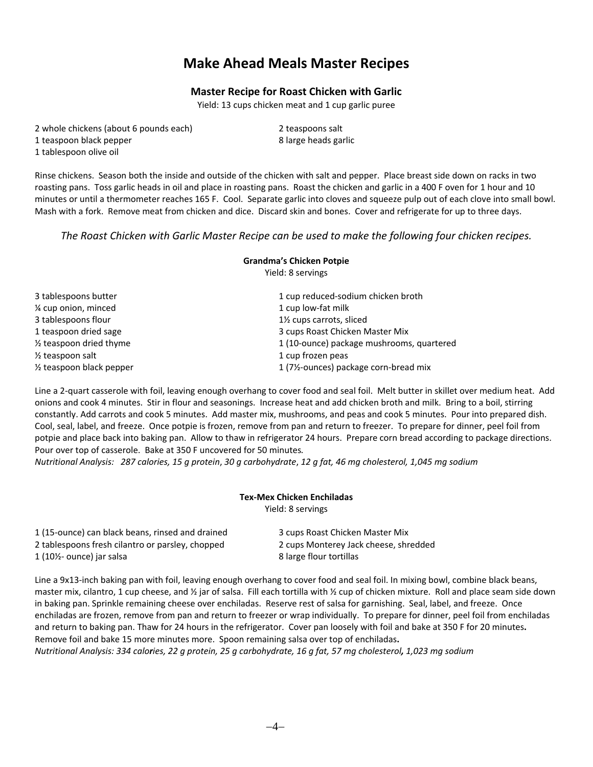# **Make Ahead Meals Master Recipes**

#### **Master Recipe for Roast Chicken with Garlic**

 Yield: 13 cups chicken meat and 1 cup garlic puree

- 2 whole chickens (about 6 pounds each) 2 teaspoons salt 1 teaspoon black pepper 1 and 1 and 1 and 1 and 1 and 1 and 1 and 1 and 1 and 1 and 1 and 1 and 1 and 1 and 1 and 1 and 1 and 1 and 1 and 1 and 1 and 1 and 1 and 1 and 1 and 1 and 1 and 1 and 1 and 1 and 1 and 1 and 1 and
- 
- 1 tablespoon olive oil

Rinse chickens. Season both the inside and outside of the chicken with salt and pepper. Place breast side down on racks in two roasting pans. Toss garlic heads in oil and place in roasting pans. Roast the chicken and garlic in a 400 F oven for 1 hour and 10 minutes or until a thermometer reaches 165 F. Cool. Separate garlic into cloves and squeeze pulp out of each clove into small bowl. Mash with a fork. Remove meat from chicken and dice. Discard skin and bones. Cover and refrigerate for up to three days.

#### *The Roast Chicken with Garlic Master Recipe can be used to make the following four chicken recipes.*

**Grandma's Chicken Potpie**

|                                       | Yield: 8 servings                                   |  |
|---------------------------------------|-----------------------------------------------------|--|
| 3 tablespoons butter                  | 1 cup reduced-sodium chicken broth                  |  |
| 1/4 cup onion, minced                 | 1 cup low-fat milk                                  |  |
| 3 tablespoons flour                   | 1 <sup>1</sup> / <sub>2</sub> cups carrots, sliced  |  |
| 1 teaspoon dried sage                 | 3 cups Roast Chicken Master Mix                     |  |
| $\frac{1}{2}$ teaspoon dried thyme    | 1 (10-ounce) package mushrooms, quartered           |  |
| $\frac{1}{2}$ teaspoon salt           | 1 cup frozen peas                                   |  |
| 1/ <sub>2</sub> teaspoon black pepper | 1 (71/ <sub>2</sub> -ounces) package corn-bread mix |  |

Line a 2‐quart casserole with foil, leaving enough overhang to cover food and seal foil. Melt butter in skillet over medium heat. Add onions and cook 4 minutes. Stir in flour and seasonings. Increase heat and add chicken broth and milk. Bring to a boil, stirring constantly. Add carrots and cook 5 minutes. Add master mix, mushrooms, and peas and cook 5 minutes. Pour into prepared dish. Cool, seal, label, and freeze. Once potpie is frozen, remove from pan and return to freezer. To prepare for dinner, peel foil from potpie and place back into baking pan. Allow to thaw in refrigerator 24 hours. Prepare corn bread according to package directions. Pour over top of casserole. Bake at 350 F uncovered for 50 minutes*.*

Nutritional Analysis: 287 calories, 15 g protein, 30 g carbohydrate, 12 g fat, 46 mg cholesterol, 1,045 mg sodium

# **Tex‐Mex Chicken Enchiladas**

Yield: 8 servings

| 1 (15-ounce) can black beans, rinsed and drained | 3 cups Roast Chicken Master Mix       |
|--------------------------------------------------|---------------------------------------|
| 2 tablespoons fresh cilantro or parsley, chopped | 2 cups Monterey Jack cheese, shredded |
| $1$ (10 $\frac{1}{2}$ - ounce) jar salsa         | 8 large flour tortillas               |

Line a 9x13‐inch baking pan with foil, leaving enough overhang to cover food and seal foil. In mixing bowl, combine black beans, master mix, cilantro, 1 cup cheese, and  $\frac{y}{x}$  jar of salsa. Fill each tortilla with  $\frac{y}{x}$  cup of chicken mixture. Roll and place seam side down in baking pan. Sprinkle remaining cheese over enchiladas. Reserve rest of salsa for garnishing. Seal, label, and freeze. Once enchiladas are frozen, remove from pan and return to freezer or wrap individually.To prepare for dinner, peel foil from enchiladas and return to baking pan. Thaw for 24 hours in the refrigerator. Cover pan loosely with foil and bake at 350 F for 20 minutes**.**  Remove foil and bake 15 more minutes more. Spoon remaining salsa over top of enchiladas**.** Nutritional Analysis: 334 calories, 22 g protein, 25 g carbohydrate, 16 g fat, 57 mg cholesterol, 1,023 mg sodium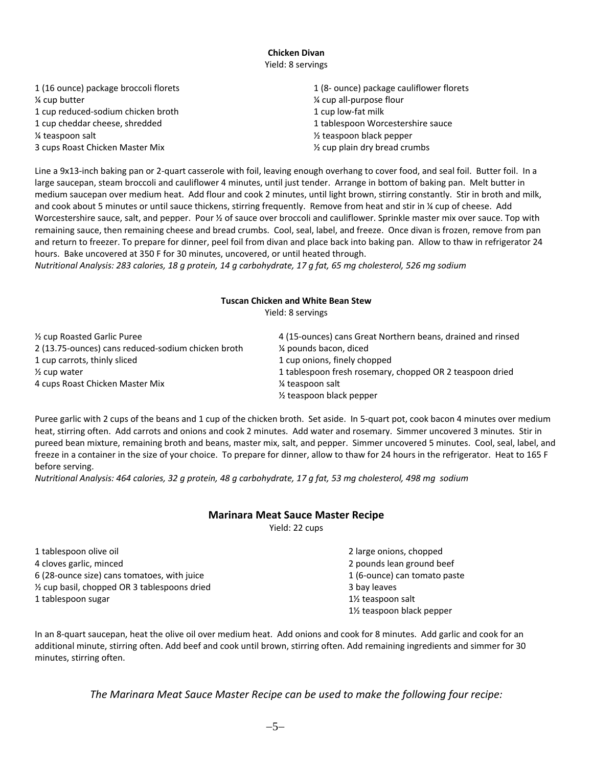#### **Chicken Divan** Yield: 8 servings

| 1 (16 ounce) package broccoli florets | 1 (8- ounce) package cauliflower florets |
|---------------------------------------|------------------------------------------|
| 1/4 cup butter                        | % cup all-purpose flour                  |
| 1 cup reduced-sodium chicken broth    | 1 cup low-fat milk                       |
| 1 cup cheddar cheese, shredded        | 1 tablespoon Worcestershire sauce        |
| 1/4 teaspoon salt                     | $\frac{1}{2}$ teaspoon black pepper      |
| 3 cups Roast Chicken Master Mix       | 1/2 cup plain dry bread crumbs           |
|                                       |                                          |

Line a 9x13‐inch baking pan or 2‐quart casserole with foil, leaving enough overhang to cover food, and seal foil. Butter foil. In a large saucepan, steam broccoli and cauliflower 4 minutes, until just tender. Arrange in bottom of baking pan. Melt butter in medium saucepan over medium heat. Add flour and cook 2 minutes, until light brown, stirring constantly. Stir in broth and milk, and cook about 5 minutes or until sauce thickens, stirring frequently. Remove from heat and stir in 1/4 cup of cheese. Add Worcestershire sauce, salt, and pepper. Pour 1/2 of sauce over broccoli and cauliflower. Sprinkle master mix over sauce. Top with remaining sauce, then remaining cheese and bread crumbs. Cool, seal, label, and freeze. Once divan is frozen, remove from pan and return to freezer. To prepare for dinner, peel foil from divan and place back into baking pan. Allow to thaw in refrigerator 24 hours. Bake uncovered at 350 F for 30 minutes, uncovered, or until heated through.

Nutritional Analysis: 283 calories, 18 g protein, 14 g carbohydrate, 17 g fat, 65 mg cholesterol, 526 mg sodium

#### **Tuscan Chicken and White Bean Stew**

Yield: 8 servings

| 1/2 cup Roasted Garlic Puree                       | 4 (15-ounces) cans Great Northern beans, drained and rinsed |
|----------------------------------------------------|-------------------------------------------------------------|
| 2 (13.75-ounces) cans reduced-sodium chicken broth | 1/4 pounds bacon, diced                                     |
| 1 cup carrots, thinly sliced                       | 1 cup onions, finely chopped                                |
| $\frac{1}{2}$ cup water                            | 1 tablespoon fresh rosemary, chopped OR 2 teaspoon dried    |
| 4 cups Roast Chicken Master Mix                    | ¼ teaspoon salt                                             |
|                                                    | $\frac{1}{2}$ teaspoon black pepper                         |

Puree garlic with 2 cups of the beans and 1 cup of the chicken broth. Set aside. In 5‐quart pot, cook bacon 4 minutes over medium heat, stirring often. Add carrots and onions and cook 2 minutes. Add water and rosemary. Simmer uncovered 3 minutes. Stir in pureed bean mixture, remaining broth and beans, master mix, salt, and pepper. Simmer uncovered 5 minutes. Cool, seal, label, and freeze in a container in the size of your choice. To prepare for dinner, allow to thaw for 24 hours in the refrigerator. Heat to 165 F before serving.

Nutritional Analysis: 464 calories, 32 g protein, 48 g carbohydrate, 17 g fat, 53 mg cholesterol, 498 mg sodium

#### **Marinara Meat Sauce Master Recipe**

Yield: 22 cups

1 tablespoon olive oil **1** tablespoon olive oil **1** tablespoon olive oil 4 cloves garlic, minced 2 pounds lean ground beef 6 (28‐ounce size) cans tomatoes, with juice 1 (6‐ounce) can tomato paste <sup>1/2</sup> cup basil, chopped OR 3 tablespoons dried **3** and  $\frac{1}{2}$  bay leaves 1 tablespoon sugar **1** tablespoon sugar **1** tables be the sum of the sum of the sum of the sum of the sum of the sum of the sum of the sum of the sum of the sum of the sum of the sum of the sum of the sum of the sum of the

1½ teaspoon black pepper

In an 8‐quart saucepan, heat the olive oil over medium heat. Add onions and cook for 8 minutes. Add garlic and cook for an additional minute, stirring often. Add beef and cook until brown, stirring often. Add remaining ingredients and simmer for 30 minutes, stirring often.

*The Marinara Meat Sauce Master Recipe can be used to make the following four recipe:*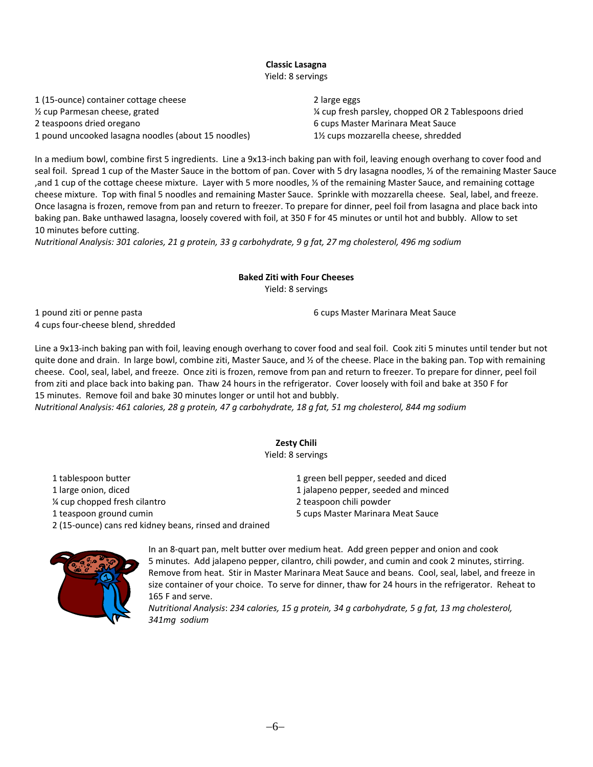#### **Classic Lasagna** Yield: 8 servings

 (15‐ounce) container cottage cheese 2 large eggs ½ cup Parmesan cheese, grated ¼ cup fresh parsley, chopped OR 2 Tablespoons dried teaspoons dried oregano 6 cups Master Marinara Meat Sauce pound uncooked lasagna noodles (about 15 noodles) 1½ cups mozzarella cheese, shredded

In a medium bowl, combine first 5 ingredients. Line a 9x13-inch baking pan with foil, leaving enough overhang to cover food and seal foil. Spread 1 cup of the Master Sauce in the bottom of pan. Cover with 5 dry lasagna noodles, ⅓ of the remaining Master Sauce ,and 1 cup of the cottage cheese mixture. Layer with 5 more noodles, ⅓ of the remaining Master Sauce, and remaining cottage cheese mixture. Top with final 5 noodles and remaining Master Sauce. Sprinkle with mozzarella cheese. Seal, label, and freeze. Once lasagna is frozen, remove from pan and return to freezer. To prepare for dinner, peel foil from lasagna and place back into baking pan. Bake unthawed lasagna, loosely covered with foil, at 350 F for 45 minutes or until hot and bubbly. Allow to set 10 minutes before cutting.

Nutritional Analysis: 301 calories, 21 a protein, 33 a carbohydrate, 9 a fat, 27 ma cholesterol, 496 ma sodium

#### **Baked Ziti with Four Cheeses** Yield: 8 servings

1 pound ziti or penne pasta 6 cups Master Marinara Meat Sauce 4 cups four‐cheese blend, shredded

Line a 9x13‐inch baking pan with foil, leaving enough overhang to cover food and seal foil. Cook ziti 5 minutes until tender but not quite done and drain. In large bowl, combine ziti, Master Sauce, and  $\frac{1}{2}$  of the cheese. Place in the baking pan. Top with remaining cheese. Cool, seal, label, and freeze. Once ziti is frozen, remove from pan and return to freezer. To prepare for dinner, peel foil from ziti and place back into baking pan. Thaw 24 hours in the refrigerator. Cover loosely with foil and bake at 350 F for 15 minutes. Remove foil and bake 30 minutes longer or until hot and bubbly.

Nutritional Analysis: 461 calories, 28 q protein, 47 q carbohydrate, 18 q fat, 51 mq cholesterol, 844 mq sodium

# **Zesty Chili**

Yield: 8 servings

| 1 tablespoon butter                                    | 1 green bell pepper, seeded and diced |
|--------------------------------------------------------|---------------------------------------|
| 1 large onion, diced                                   | 1 jalapeno pepper, seeded and minced  |
| % cup chopped fresh cilantro                           | 2 teaspoon chili powder               |
| 1 teaspoon ground cumin                                | 5 cups Master Marinara Meat Sauce     |
| 2 (15-ounce) cans red kidney beans, rinsed and drained |                                       |



In an 8‐quart pan, melt butter over medium heat. Add green pepper and onion and cook 5 minutes. Add jalapeno pepper, cilantro, chili powder, and cumin and cook 2 minutes, stirring. Remove from heat. Stir in Master Marinara Meat Sauce and beans. Cool, seal, label, and freeze in size container of your choice. To serve for dinner, thaw for 24 hours in the refrigerator. Reheat to 165 F and serve.

*Nutritional Analysis*: *234 calories, 15 g protein, 34 g carbohydrate, 5 g fat, 13 mg cholesterol, 341mg sodium*